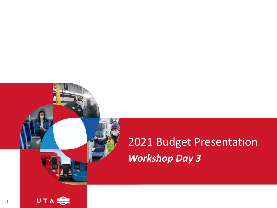# 2021 Budget Presentation *Workshop Day 3*

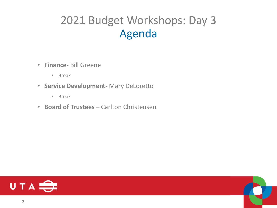### 2021 Budget Workshops: Day 3 Agenda

- **Finance-** Bill Greene
	- Break
- **Service Development-** Mary DeLoretto
	- Break
- **Board of Trustees –** Carlton Christensen



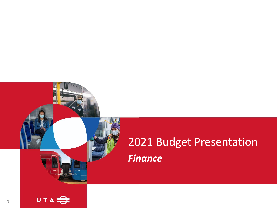# 2021 Budget Presentation *Finance*

3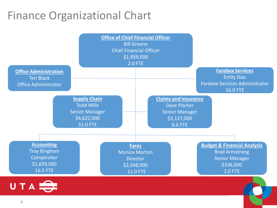### Finance Organizational Chart

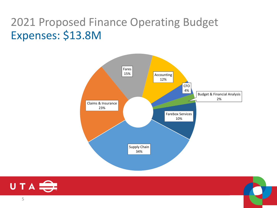### 2021 Proposed Finance Operating Budget Expenses: \$13.8M





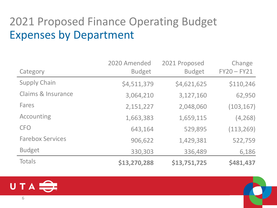### 2021 Proposed Finance Operating Budget Expenses by Department

|                         | 2020 Amended  | 2021 Proposed | Change        |
|-------------------------|---------------|---------------|---------------|
| Category                | <b>Budget</b> | <b>Budget</b> | $FY20 - FY21$ |
| <b>Supply Chain</b>     | \$4,511,379   | \$4,621,625   | \$110,246     |
| Claims & Insurance      | 3,064,210     | 3,127,160     | 62,950        |
| Fares                   | 2,151,227     | 2,048,060     | (103, 167)    |
| Accounting              | 1,663,383     | 1,659,115     | (4, 268)      |
| <b>CFO</b>              | 643,164       | 529,895       | (113, 269)    |
| <b>Farebox Services</b> | 906,622       | 1,429,381     | 522,759       |
| <b>Budget</b>           | 330,303       | 336,489       | 6,186         |
| <b>Totals</b>           | \$13,270,288  | \$13,751,725  | \$481,437     |



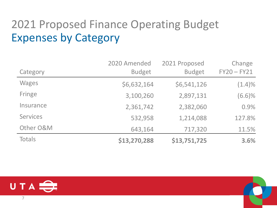## 2021 Proposed Finance Operating Budget Expenses by Category

|                 | 2020 Amended  | 2021 Proposed | Change        |
|-----------------|---------------|---------------|---------------|
| Category        | <b>Budget</b> | <b>Budget</b> | $FY20 - FY21$ |
| <b>Wages</b>    | \$6,632,164   | \$6,541,126   | $(1.4)\%$     |
| Fringe          | 3,100,260     | 2,897,131     | (6.6)%        |
| Insurance       | 2,361,742     | 2,382,060     | 0.9%          |
| <b>Services</b> | 532,958       | 1,214,088     | 127.8%        |
| Other O&M       | 643,164       | 717,320       | 11.5%         |
| <b>Totals</b>   | \$13,270,288  | \$13,751,725  | 3.6%          |

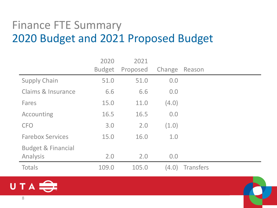### Finance FTE Summary 2020 Budget and 2021 Proposed Budget

|                                           | 2020<br><b>Budget</b> | 2021<br>Proposed | Change | Reason           |
|-------------------------------------------|-----------------------|------------------|--------|------------------|
| <b>Supply Chain</b>                       | 51.0                  | 51.0             | 0.0    |                  |
| <b>Claims &amp; Insurance</b>             | 6.6                   | 6.6              | 0.0    |                  |
| Fares                                     | 15.0                  | 11.0             | (4.0)  |                  |
| Accounting                                | 16.5                  | 16.5             | 0.0    |                  |
| <b>CFO</b>                                | 3.0                   | 2.0              | (1.0)  |                  |
| <b>Farebox Services</b>                   | 15.0                  | 16.0             | 1.0    |                  |
| <b>Budget &amp; Financial</b><br>Analysis | 2.0                   | 2.0              | 0.0    |                  |
| <b>Totals</b>                             | 109.0                 | 105.0            | (4.0)  | <b>Transfers</b> |

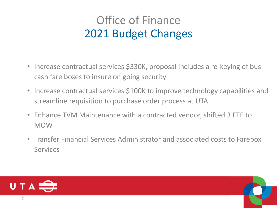## Office of Finance 2021 Budget Changes

- Increase contractual services \$330K, proposal includes a re-keying of bus cash fare boxes to insure on going security
- Increase contractual services \$100K to improve technology capabilities and streamline requisition to purchase order process at UTA
- Enhance TVM Maintenance with a contracted vendor, shifted 3 FTE to MOW
- Transfer Financial Services Administrator and associated costs to Farebox **Services**

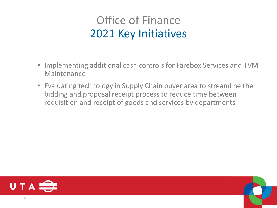### Office of Finance 2021 Key Initiatives

- Implementing additional cash controls for Farebox Services and TVM Maintenance
- Evaluating technology in Supply Chain buyer area to streamline the bidding and proposal receipt process to reduce time between requisition and receipt of goods and services by departments



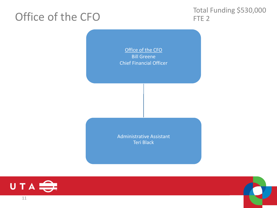### Office of the CFO

Total Funding \$530,000 FTE<sub>2</sub>

Office of the CFO Bill Greene Chief Financial Officer

Administrative Assistant Teri Black





11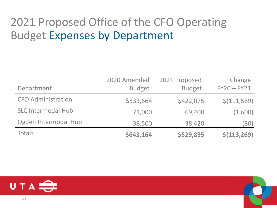## 2021 Proposed Office of the CFO Operating Budget Expenses by Department

|                           | 2020 Amended  | 2021 Proposed | Change        |
|---------------------------|---------------|---------------|---------------|
| Department                | <b>Budget</b> | <b>Budget</b> | $FY20 - FY21$ |
| <b>CFO Administration</b> | \$533,664     | \$422,075     | \$(111,589)   |
| <b>SLC Intermodal Hub</b> | 71,000        | 69,400        | (1,600)       |
| Ogden Intermodal Hub      | 38,500        | 38,420        | (80)          |
| Totals                    | \$643,164     | \$529,895     | \$(113, 269)  |

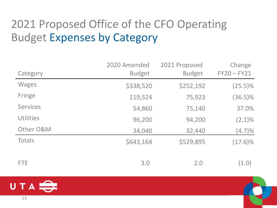## 2021 Proposed Office of the CFO Operating Budget Expenses by Category

|                  | 2020 Amended  | 2021 Proposed | Change        |
|------------------|---------------|---------------|---------------|
| Category         | <b>Budget</b> | <b>Budget</b> | $FY20 - FY21$ |
| <b>Wages</b>     | \$338,520     | \$252,192     | $(25.5)\%$    |
| Fringe           | 119,524       | 75,923        | $(36.5)\%$    |
| <b>Services</b>  | 54,860        | 75,140        | 37.0%         |
| <b>Utilities</b> | 96,200        | 94,200        | $(2.1)\%$     |
| Other O&M        | 34,040        | 32,440        | (4.7)%        |
| <b>Totals</b>    | \$643,164     | \$529,895     | $(17.6)\%$    |
| <b>FTE</b>       | 3.0           | 2.0           | (1.0)         |

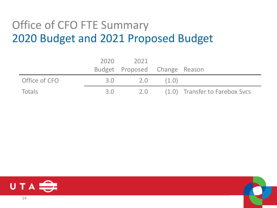### Office of CFO FTE Summary 2020 Budget and 2021 Proposed Budget

|               | 2020 | 2021                          |       |                                |
|---------------|------|-------------------------------|-------|--------------------------------|
|               |      | Budget Proposed Change Reason |       |                                |
| Office of CFO | 3.0  | 2.0                           | (1.0) |                                |
| Totals        | 3.0  | 2.0                           |       | (1.0) Transfer to Farebox Svcs |

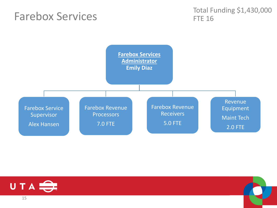### Farebox Services

Total Funding \$1,430,000 FTE 16





15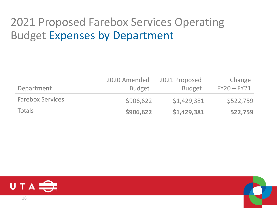### 2021 Proposed Farebox Services Operating Budget Expenses by Department

|                         | 2020 Amended  | 2021 Proposed | Change        |
|-------------------------|---------------|---------------|---------------|
| Department              | <b>Budget</b> | <b>Budget</b> | $FY20 - FY21$ |
| <b>Farebox Services</b> | \$906,622     | \$1,429,381   | \$522,759     |
| Totals                  | \$906,622     | \$1,429,381   | 522,759       |

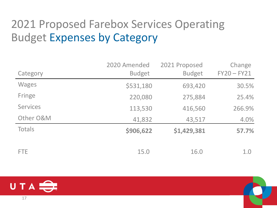## 2021 Proposed Farebox Services Operating Budget Expenses by Category

|                 | 2020 Amended  | 2021 Proposed | Change        |
|-----------------|---------------|---------------|---------------|
| Category        | <b>Budget</b> | <b>Budget</b> | $FY20 - FY21$ |
| <b>Wages</b>    | \$531,180     | 693,420       | 30.5%         |
| Fringe          | 220,080       | 275,884       | 25.4%         |
| <b>Services</b> | 113,530       | 416,560       | 266.9%        |
| Other O&M       | 41,832        | 43,517        | 4.0%          |
| Totals          | \$906,622     | \$1,429,381   | 57.7%         |
| <b>FTE</b>      | 15.0          | 16.0          | 1.0           |

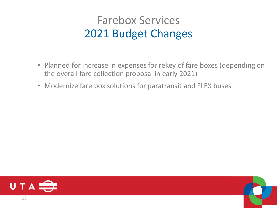### Farebox Services 2021 Budget Changes

- Planned for increase in expenses for rekey of fare boxes (depending on the overall fare collection proposal in early 2021)
- Modernize fare box solutions for paratransit and FLEX buses

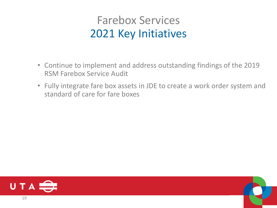### Farebox Services 2021 Key Initiatives

- Continue to implement and address outstanding findings of the 2019 RSM Farebox Service Audit
- Fully integrate fare box assets in JDE to create a work order system and standard of care for fare boxes



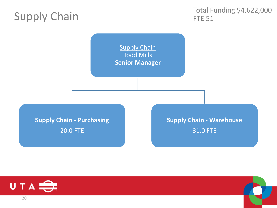### Supply Chain

Total Funding \$4,622,000 FTE 51

**Supply Chain** Todd Mills **Senior Manager**

**Supply Chain - Purchasing** 20.0 FTE

#### **Supply Chain - Warehouse** 31.0 FTE



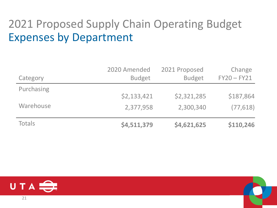### 2021 Proposed Supply Chain Operating Budget Expenses by Department

|               | 2020 Amended  | 2021 Proposed | Change        |
|---------------|---------------|---------------|---------------|
| Category      | <b>Budget</b> | <b>Budget</b> | $FY20 - FY21$ |
| Purchasing    |               |               |               |
|               | \$2,133,421   | \$2,321,285   | \$187,864     |
| Warehouse     | 2,377,958     | 2,300,340     | (77, 618)     |
| <b>Totals</b> | \$4,511,379   | \$4,621,625   | \$110,246     |

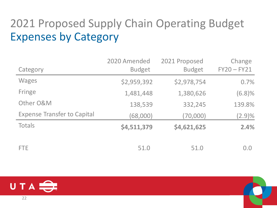## 2021 Proposed Supply Chain Operating Budget Expenses by Category

|                                    | 2020 Amended  | 2021 Proposed | Change        |
|------------------------------------|---------------|---------------|---------------|
| Category                           | <b>Budget</b> | <b>Budget</b> | $FY20 - FY21$ |
| <b>Wages</b>                       | \$2,959,392   | \$2,978,754   | 0.7%          |
| Fringe                             | 1,481,448     | 1,380,626     | (6.8)%        |
| Other O&M                          | 138,539       | 332,245       | 139.8%        |
| <b>Expense Transfer to Capital</b> | (68,000)      | (70,000)      | $(2.9)\%$     |
| Totals                             | \$4,511,379   | \$4,621,625   | 2.4%          |
| <b>FTE</b>                         | 51.0          | 51.0          | 0.0           |

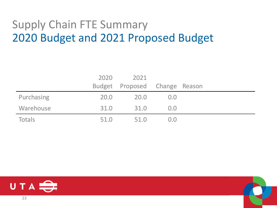### Supply Chain FTE Summary 2020 Budget and 2021 Proposed Budget

|            | 2020 | 2021                          |             |  |
|------------|------|-------------------------------|-------------|--|
|            |      | Budget Proposed Change Reason |             |  |
| Purchasing | 20.0 | 20.0                          | 0.0         |  |
| Warehouse  | 31.0 | 31.0                          | 0.0         |  |
| Totals     | 51.0 | 51.0                          | $($ ) $($ ) |  |



23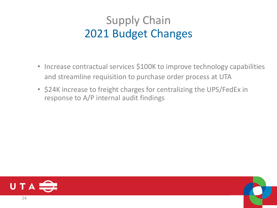### Supply Chain 2021 Budget Changes

- Increase contractual services \$100K to improve technology capabilities and streamline requisition to purchase order process at UTA
- \$24K increase to freight charges for centralizing the UPS/FedEx in response to A/P internal audit findings



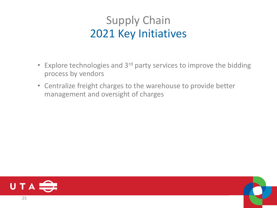### Supply Chain 2021 Key Initiatives

- Explore technologies and 3<sup>rd</sup> party services to improve the bidding process by vendors
- Centralize freight charges to the warehouse to provide better management and oversight of charges



25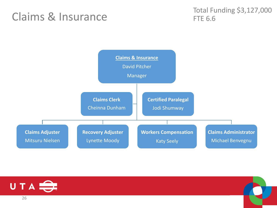### Claims & Insurance

Total Funding \$3,127,000 FTE 6.6



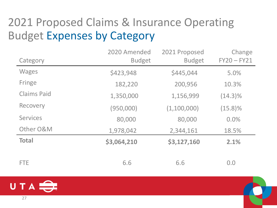## 2021 Proposed Claims & Insurance Operating Budget Expenses by Category

| Category           | 2020 Amended<br><b>Budget</b> | 2021 Proposed<br><b>Budget</b> | Change<br>$FY20 - FY21$ |
|--------------------|-------------------------------|--------------------------------|-------------------------|
| <b>Wages</b>       | \$423,948                     | \$445,044                      | 5.0%                    |
| Fringe             | 182,220                       | 200,956                        | 10.3%                   |
| <b>Claims Paid</b> | 1,350,000                     | 1,156,999                      | $(14.3)\%$              |
| Recovery           | (950,000)                     | (1,100,000)                    | $(15.8)\%$              |
| <b>Services</b>    | 80,000                        | 80,000                         | 0.0%                    |
| Other O&M          | 1,978,042                     | 2,344,161                      | 18.5%                   |
| <b>Total</b>       | \$3,064,210                   | \$3,127,160                    | 2.1%                    |
| FTE.               | 6.6                           | 6.6                            | 0.0                     |

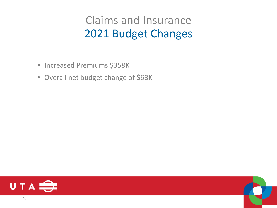### Claims and Insurance 2021 Budget Changes

- Increased Premiums \$358K
- Overall net budget change of \$63K



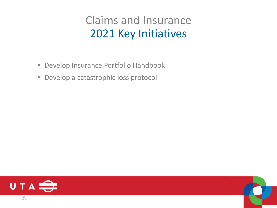### Claims and Insurance 2021 Key Initiatives

- Develop Insurance Portfolio Handbook
- Develop a catastrophic loss protocol



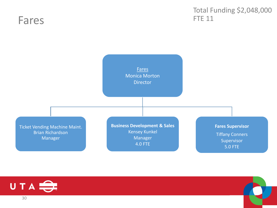### Fares

#### Total Funding \$2,048,000 FTE 11



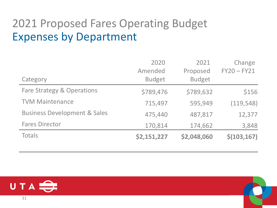### 2021 Proposed Fares Operating Budget Expenses by Department

|                                         | 2020<br>2021  |               | Change        |
|-----------------------------------------|---------------|---------------|---------------|
|                                         | Amended       | Proposed      | $FY20 - FY21$ |
| Category                                | <b>Budget</b> | <b>Budget</b> |               |
| Fare Strategy & Operations              | \$789,476     | \$789,632     | \$156         |
| <b>TVM Maintenance</b>                  | 715,497       | 595,949       | (119, 548)    |
| <b>Business Development &amp; Sales</b> | 475,440       | 487,817       | 12,377        |
| <b>Fares Director</b>                   | 170,814       | 174,662       | 3,848         |
| <b>Totals</b>                           | \$2,151,227   | \$2,048,060   | \$(103, 167)  |

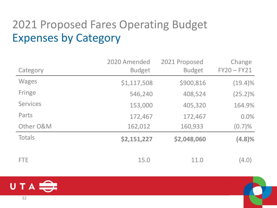## 2021 Proposed Fares Operating Budget Expenses by Category

|                 | 2020 Amended  | 2021 Proposed | Change        |
|-----------------|---------------|---------------|---------------|
| Category        | <b>Budget</b> | <b>Budget</b> | $FY20 - FY21$ |
| <b>Wages</b>    | \$1,117,508   | \$900,816     | $(19.4)\%$    |
| Fringe          | 546,240       | 408,524       | $(25.2)\%$    |
| <b>Services</b> | 153,000       | 405,320       | 164.9%        |
| Parts           | 172,467       | 172,467       | 0.0%          |
| Other O&M       | 162,012       | 160,933       | (0.7)%        |
| Totals          | \$2,151,227   | \$2,048,060   | (4.8)%        |
| <b>FTE</b>      | 15.0          | 11.0          | (4.0)         |

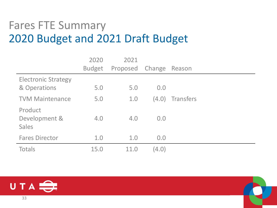### Fares FTE Summary 2020 Budget and 2021 Draft Budget

|                                            | 2020          | 2021     |        |                  |
|--------------------------------------------|---------------|----------|--------|------------------|
|                                            | <b>Budget</b> | Proposed | Change | Reason           |
| <b>Electronic Strategy</b><br>& Operations | 5.0           | 5.0      | 0.0    |                  |
| <b>TVM Maintenance</b>                     | 5.0           | 1.0      | (4.0)  | <b>Transfers</b> |
| Product<br>Development &<br><b>Sales</b>   | 4.0           | 4.0      | 0.0    |                  |
| <b>Fares Director</b>                      | 1.0           | 1.0      | 0.0    |                  |
| <b>Totals</b>                              | 15.0          | 11.0     | (4.0)  |                  |

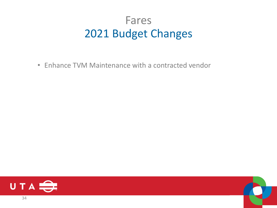### Fares 2021 Budget Changes

• Enhance TVM Maintenance with a contracted vendor



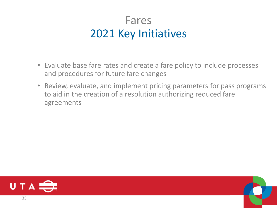### Fares 2021 Key Initiatives

- Evaluate base fare rates and create a fare policy to include processes and procedures for future fare changes
- Review, evaluate, and implement pricing parameters for pass programs to aid in the creation of a resolution authorizing reduced fare agreements



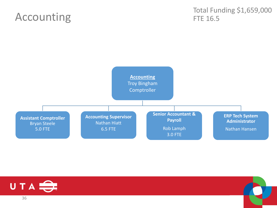### Accounting

Total Funding \$1,659,000 FTE 16.5





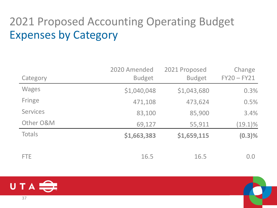## 2021 Proposed Accounting Operating Budget Expenses by Category

| Category        | 2020 Amended<br><b>Budget</b> | 2021 Proposed<br><b>Budget</b> | Change<br>$FY20 - FY21$ |
|-----------------|-------------------------------|--------------------------------|-------------------------|
| <b>Wages</b>    | \$1,040,048                   | \$1,043,680                    | 0.3%                    |
| Fringe          | 471,108                       | 473,624                        | 0.5%                    |
| <b>Services</b> | 83,100                        | 85,900                         | 3.4%                    |
| Other O&M       | 69,127                        | 55,911                         | $(19.1)\%$              |
| <b>Totals</b>   | \$1,663,383                   | \$1,659,115                    | $(0.3)\%$               |
| <b>FTE</b>      | 16.5                          | 16.5                           | 0.0                     |

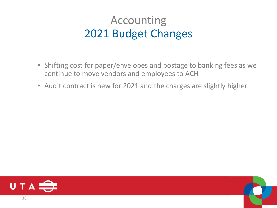### Accounting 2021 Budget Changes

- Shifting cost for paper/envelopes and postage to banking fees as we continue to move vendors and employees to ACH
- Audit contract is new for 2021 and the charges are slightly higher

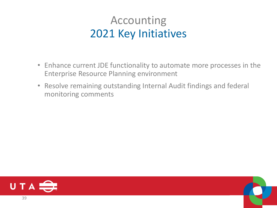### Accounting 2021 Key Initiatives

- Enhance current JDE functionality to automate more processes in the Enterprise Resource Planning environment
- Resolve remaining outstanding Internal Audit findings and federal monitoring comments



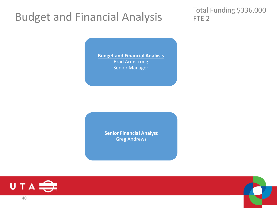### Budget and Financial Analysis

Total Funding \$336,000 FTE<sub>2</sub>

**Budget and Financial Analysis** Brad Armstrong Senior Manager

> **Senior Financial Analyst** Greg Andrews



40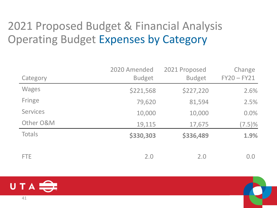### 2021 Proposed Budget & Financial Analysis Operating Budget Expenses by Category

|                 | 2020 Amended  | 2021 Proposed | Change        |
|-----------------|---------------|---------------|---------------|
| Category        | <b>Budget</b> | <b>Budget</b> | $FY20 - FY21$ |
| <b>Wages</b>    | \$221,568     | \$227,220     | 2.6%          |
| Fringe          | 79,620        | 81,594        | 2.5%          |
| <b>Services</b> | 10,000        | 10,000        | 0.0%          |
| Other O&M       | 19,115        | 17,675        | $(7.5)\%$     |
| Totals          | \$330,303     | \$336,489     | 1.9%          |
| <b>FTE</b>      | 2.0           | 2.0           | 0.0           |

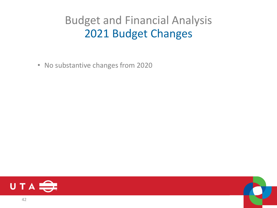### Budget and Financial Analysis 2021 Budget Changes

• No substantive changes from 2020



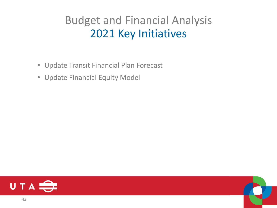### Budget and Financial Analysis 2021 Key Initiatives

- Update Transit Financial Plan Forecast
- Update Financial Equity Model



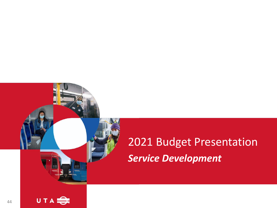# 2021 Budget Presentation *Service Development*

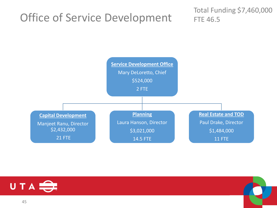### Office of Service Development

Total Funding \$7,460,000 FTE 46.5



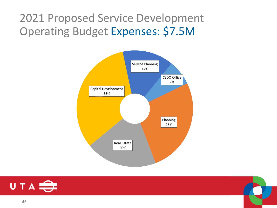2021 Proposed Service Development Operating Budget Expenses: \$7.5M





46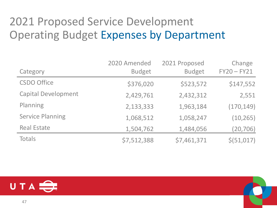### 2021 Proposed Service Development Operating Budget Expenses by Department

| Category                   | 2020 Amended<br><b>Budget</b> | 2021 Proposed<br><b>Budget</b> | Change<br>$FY20 - FY21$ |
|----------------------------|-------------------------------|--------------------------------|-------------------------|
| <b>CSDO Office</b>         | \$376,020                     | \$523,572                      | \$147,552               |
| <b>Capital Development</b> | 2,429,761                     | 2,432,312                      | 2,551                   |
| Planning                   | 2,133,333                     | 1,963,184                      | (170, 149)              |
| <b>Service Planning</b>    | 1,068,512                     | 1,058,247                      | (10, 265)               |
| <b>Real Estate</b>         | 1,504,762                     | 1,484,056                      | (20, 706)               |
| <b>Totals</b>              | \$7,512,388                   | \$7,461,371                    | \$ (51, 017)            |

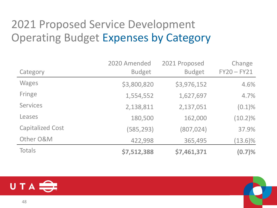### 2021 Proposed Service Development Operating Budget Expenses by Category

|                         | 2020 Amended  | 2021 Proposed | Change        |
|-------------------------|---------------|---------------|---------------|
| Category                | <b>Budget</b> | <b>Budget</b> | $FY20 - FY21$ |
| <b>Wages</b>            | \$3,800,820   | \$3,976,152   | 4.6%          |
| Fringe                  | 1,554,552     | 1,627,697     | 4.7%          |
| <b>Services</b>         | 2,138,811     | 2,137,051     | $(0.1)\%$     |
| Leases                  | 180,500       | 162,000       | $(10.2)\%$    |
| <b>Capitalized Cost</b> | (585, 293)    | (807, 024)    | 37.9%         |
| Other O&M               | 422,998       | 365,495       | $(13.6)\%$    |
| <b>Totals</b>           | \$7,512,388   | \$7,461,371   | (0.7)%        |

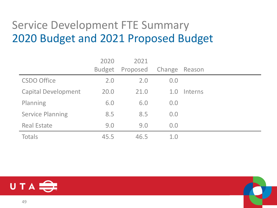### Service Development FTE Summary 2020 Budget and 2021 Proposed Budget

|                            | 2020          | 2021     |        |         |
|----------------------------|---------------|----------|--------|---------|
|                            | <b>Budget</b> | Proposed | Change | Reason  |
| <b>CSDO Office</b>         | 2.0           | 2.0      | 0.0    |         |
| <b>Capital Development</b> | 20.0          | 21.0     | 1.0    | Interns |
| Planning                   | 6.0           | 6.0      | 0.0    |         |
| <b>Service Planning</b>    | 8.5           | 8.5      | 0.0    |         |
| <b>Real Estate</b>         | 9.0           | 9.0      | 0.0    |         |
| <b>Totals</b>              | 45.5          | 46.5     | 1.0    |         |

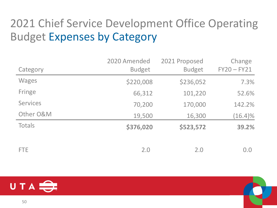## 2021 Chief Service Development Office Operating Budget Expenses by Category

|                 | 2020 Amended  | 2021 Proposed | Change        |
|-----------------|---------------|---------------|---------------|
| Category        | <b>Budget</b> | <b>Budget</b> | $FY20 - FY21$ |
| <b>Wages</b>    | \$220,008     | \$236,052     | 7.3%          |
| Fringe          | 66,312        | 101,220       | 52.6%         |
| <b>Services</b> | 70,200        | 170,000       | 142.2%        |
| Other O&M       | 19,500        | 16,300        | $(16.4)\%$    |
| Totals          | \$376,020     | \$523,572     | 39.2%         |
|                 |               |               |               |
| <b>FTE</b>      | 2.0           | 2.0           | 0.0           |

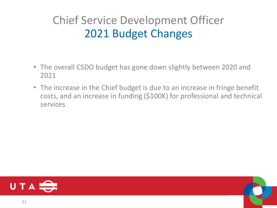## Chief Service Development Officer 2021 Budget Changes

- The overall CSDO budget has gone down slightly between 2020 and 2021
- The increase in the Chief budget is due to an increase in fringe benefit costs, and an increase in funding (\$100K) for professional and technical services



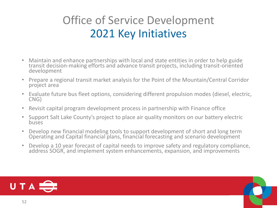### Office of Service Development 2021 Key Initiatives

- Maintain and enhance partnerships with local and state entities in order to help guide transit decision-making efforts and advance transit projects, including transit-oriented development
- Prepare a regional transit market analysis for the Point of the Mountain/Central Corridor project area
- Evaluate future bus fleet options, considering different propulsion modes (diesel, electric, CNG)
- Revisit capital program development process in partnership with Finance office
- Support Salt Lake County's project to place air quality monitors on our battery electric buses
- Develop new financial modeling tools to support development of short and long term Operating and Capital financial plans, financial forecasting and scenario development
- Develop a 10 year forecast of capital needs to improve safety and regulatory compliance, address SOGR, and implement system enhancements, expansion, and improvements

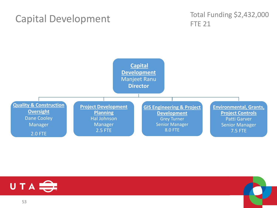#### Capital Development

#### Total Funding \$2,432,000 FTE 21



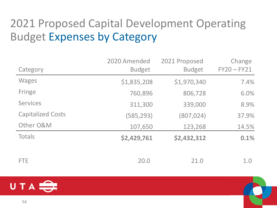## 2021 Proposed Capital Development Operating Budget Expenses by Category

| Category                 | 2020 Amended<br><b>Budget</b> | 2021 Proposed<br><b>Budget</b> | Change<br>$FY20 - FY21$ |
|--------------------------|-------------------------------|--------------------------------|-------------------------|
|                          |                               |                                |                         |
| <b>Wages</b>             | \$1,835,208                   | \$1,970,340                    | 7.4%                    |
| Fringe                   | 760,896                       | 806,728                        | 6.0%                    |
| <b>Services</b>          | 311,300                       | 339,000                        | 8.9%                    |
| <b>Capitalized Costs</b> | (585, 293)                    | (807, 024)                     | 37.9%                   |
| Other O&M                | 107,650                       | 123,268                        | 14.5%                   |
| Totals                   | \$2,429,761                   | \$2,432,312                    | 0.1%                    |
|                          |                               |                                |                         |
| <b>FTE</b>               | 20.0                          | 21.0                           | 1.0                     |

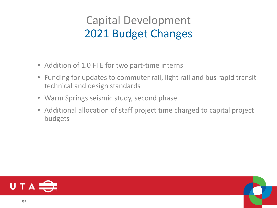### Capital Development 2021 Budget Changes

- Addition of 1.0 FTE for two part-time interns
- Funding for updates to commuter rail, light rail and bus rapid transit technical and design standards
- Warm Springs seismic study, second phase
- Additional allocation of staff project time charged to capital project budgets

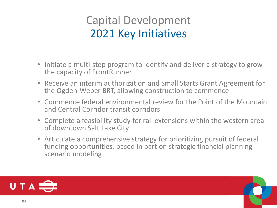### Capital Development 2021 Key Initiatives

- Initiate a multi-step program to identify and deliver a strategy to grow the capacity of FrontRunner
- Receive an interim authorization and Small Starts Grant Agreement for the Ogden-Weber BRT, allowing construction to commence
- Commence federal environmental review for the Point of the Mountain and Central Corridor transit corridors
- Complete a feasibility study for rail extensions within the western area of downtown Salt Lake City
- Articulate a comprehensive strategy for prioritizing pursuit of federal funding opportunities, based in part on strategic financial planning scenario modeling

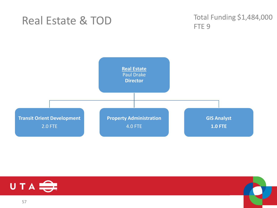### Real Estate & TOD

Total Funding \$1,484,000 FTE<sub>9</sub>





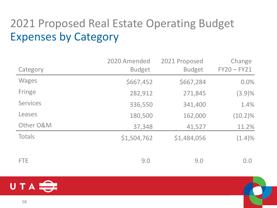## 2021 Proposed Real Estate Operating Budget Expenses by Category

|                 | 2020 Amended  | 2021 Proposed | Change        |
|-----------------|---------------|---------------|---------------|
| Category        | <b>Budget</b> | <b>Budget</b> | $FY20 - FY21$ |
| <b>Wages</b>    | \$667,452     | \$667,284     | 0.0%          |
| Fringe          | 282,912       | 271,845       | (3.9)%        |
| <b>Services</b> | 336,550       | 341,400       | 1.4%          |
| Leases          | 180,500       | 162,000       | $(10.2)\%$    |
| Other O&M       | 37,348        | 41,527        | 11.2%         |
| Totals          | \$1,504,762   | \$1,484,056   | $(1.4)\%$     |
| <b>FTE</b>      | 9.0           | 9.0           | 0.0           |

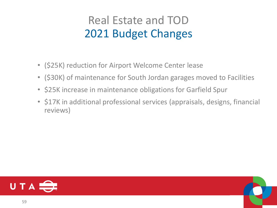### Real Estate and TOD 2021 Budget Changes

- (\$25K) reduction for Airport Welcome Center lease
- (\$30K) of maintenance for South Jordan garages moved to Facilities
- \$25K increase in maintenance obligations for Garfield Spur
- \$17K in additional professional services (appraisals, designs, financial reviews)

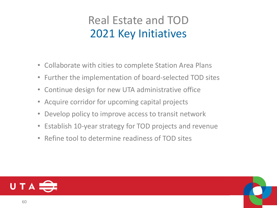### Real Estate and TOD 2021 Key Initiatives

- Collaborate with cities to complete Station Area Plans
- Further the implementation of board-selected TOD sites
- Continue design for new UTA administrative office
- Acquire corridor for upcoming capital projects
- Develop policy to improve access to transit network
- Establish 10-year strategy for TOD projects and revenue
- Refine tool to determine readiness of TOD sites

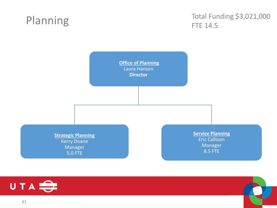### Planning

Total Funding \$3,021,000 FTE 14.5



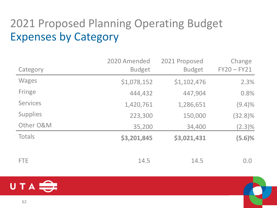## 2021 Proposed Planning Operating Budget Expenses by Category

|                 | 2020 Amended  | 2021 Proposed | Change        |
|-----------------|---------------|---------------|---------------|
| Category        | <b>Budget</b> | <b>Budget</b> | $FY20 - FY21$ |
| <b>Wages</b>    | \$1,078,152   | \$1,102,476   | 2.3%          |
| Fringe          | 444,432       | 447,904       | 0.8%          |
| <b>Services</b> | 1,420,761     | 1,286,651     | $(9.4)\%$     |
| <b>Supplies</b> | 223,300       | 150,000       | $(32.8)\%$    |
| Other O&M       | 35,200        | 34,400        | $(2.3)\%$     |
| Totals          | \$3,201,845   | \$3,021,431   | (5.6)%        |
|                 |               |               |               |
| FTE.            | 14.5          | 14.5          | 0.0           |

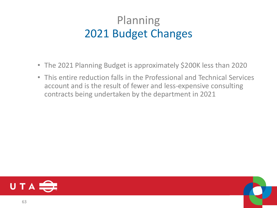### Planning 2021 Budget Changes

- The 2021 Planning Budget is approximately \$200K less than 2020
- This entire reduction falls in the Professional and Technical Services account and is the result of fewer and less-expensive consulting contracts being undertaken by the department in 2021



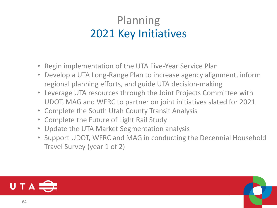### Planning 2021 Key Initiatives

- Begin implementation of the UTA Five-Year Service Plan
- Develop a UTA Long-Range Plan to increase agency alignment, inform regional planning efforts, and guide UTA decision-making
- Leverage UTA resources through the Joint Projects Committee with UDOT, MAG and WFRC to partner on joint initiatives slated for 2021
- Complete the South Utah County Transit Analysis
- Complete the Future of Light Rail Study
- Update the UTA Market Segmentation analysis
- Support UDOT, WFRC and MAG in conducting the Decennial Household Travel Survey (year 1 of 2)

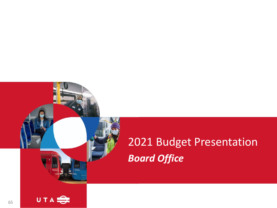# 2021 Budget Presentation *Board Office*

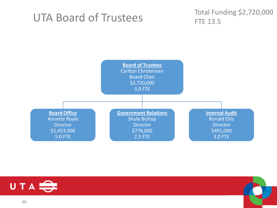### UTA Board of Trustees

Total Funding \$2,720,000 FTE 13.5





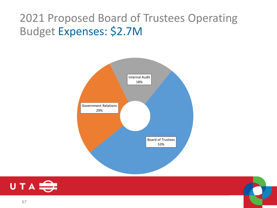### 2021 Proposed Board of Trustees Operating Budget Expenses: \$2.7M





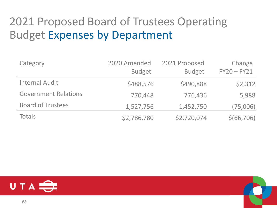### 2021 Proposed Board of Trustees Operating Budget Expenses by Department

| Category                    | 2020 Amended<br><b>Budget</b> | 2021 Proposed<br><b>Budget</b> | Change<br>$FY20 - FY21$ |
|-----------------------------|-------------------------------|--------------------------------|-------------------------|
| <b>Internal Audit</b>       | \$488,576                     | \$490,888                      | \$2,312                 |
| <b>Government Relations</b> | 770,448                       | 776,436                        | 5,988                   |
| <b>Board of Trustees</b>    | 1,527,756                     | 1,452,750                      | (75,006)                |
| Totals                      | \$2,786,780                   | \$2,720,074                    | \$(66,706)              |

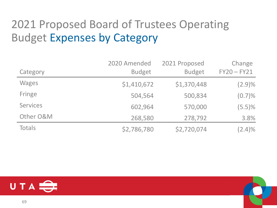## 2021 Proposed Board of Trustees Operating Budget Expenses by Category

| Category        | 2020 Amended<br><b>Budget</b> | 2021 Proposed<br><b>Budget</b> | Change<br>$FY20 - FY21$ |
|-----------------|-------------------------------|--------------------------------|-------------------------|
| <b>Wages</b>    | \$1,410,672                   | \$1,370,448                    | $(2.9)\%$               |
| Fringe          | 504,564                       | 500,834                        | $(0.7)\%$               |
| <b>Services</b> | 602,964                       | 570,000                        | $(5.5)\%$               |
| Other O&M       | 268,580                       | 278,792                        | 3.8%                    |
| <b>Totals</b>   | \$2,786,780                   | \$2,720,074                    | $(2.4)\%$               |

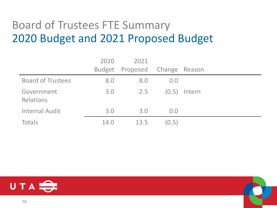### Board of Trustees FTE Summary 2020 Budget and 2021 Proposed Budget

|                                | 2020          | 2021                   |       |        |
|--------------------------------|---------------|------------------------|-------|--------|
|                                | <b>Budget</b> | Proposed Change Reason |       |        |
| <b>Board of Trustees</b>       | 8.0           | 8.0                    | 0.0   |        |
| Government<br><b>Relations</b> | 3.0           | 2.5                    | (0.5) | Intern |
| <b>Internal Audit</b>          | 3.0           | 3.0                    | 0.0   |        |
| <b>Totals</b>                  | 14.0          | 13.5                   | (0.5) |        |

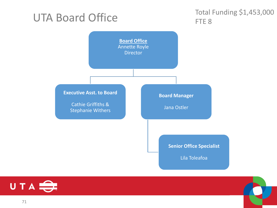### UTA Board Office

#### Total Funding \$1,453,000 FTE<sub>8</sub>



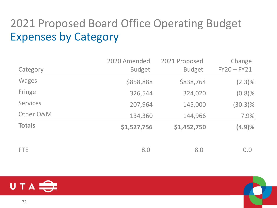## 2021 Proposed Board Office Operating Budget Expenses by Category

|                 | 2020 Amended  | 2021 Proposed | Change        |
|-----------------|---------------|---------------|---------------|
| Category        | <b>Budget</b> | <b>Budget</b> | $FY20 - FY21$ |
| <b>Wages</b>    | \$858,888     | \$838,764     | $(2.3)\%$     |
| Fringe          | 326,544       | 324,020       | $(0.8)\%$     |
| <b>Services</b> | 207,964       | 145,000       | $(30.3)\%$    |
| Other O&M       | 134,360       | 144,966       | 7.9%          |
| <b>Totals</b>   | \$1,527,756   | \$1,452,750   | (4.9)%        |
|                 |               |               |               |
| <b>FTE</b>      | 8.0           | 8.0           | 0.0           |

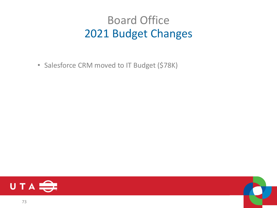### Board Office 2021 Budget Changes

• Salesforce CRM moved to IT Budget (\$78K)



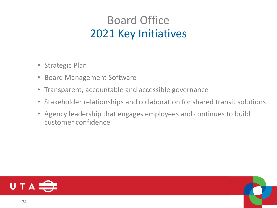## Board Office 2021 Key Initiatives

- Strategic Plan
- Board Management Software
- Transparent, accountable and accessible governance
- Stakeholder relationships and collaboration for shared transit solutions
- Agency leadership that engages employees and continues to build customer confidence

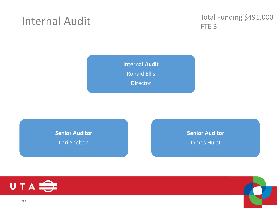#### Internal Audit

Total Funding \$491,000 FTE 3



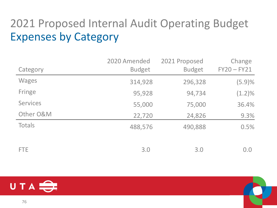# 2021 Proposed Internal Audit Operating Budget Expenses by Category

|                 | 2020 Amended  | 2021 Proposed | Change        |
|-----------------|---------------|---------------|---------------|
| Category        | <b>Budget</b> | <b>Budget</b> | $FY20 - FY21$ |
| <b>Wages</b>    | 314,928       | 296,328       | (5.9)%        |
| Fringe          | 95,928        | 94,734        | $(1.2)\%$     |
| <b>Services</b> | 55,000        | 75,000        | 36.4%         |
| Other O&M       | 22,720        | 24,826        | 9.3%          |
| <b>Totals</b>   | 488,576       | 490,888       | 0.5%          |
| <b>FTE</b>      | 3.0           | 3.0           | 0.0           |

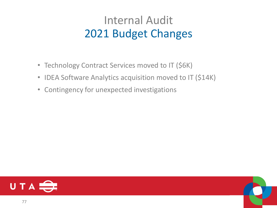## Internal Audit 2021 Budget Changes

- Technology Contract Services moved to IT (\$6K)
- IDEA Software Analytics acquisition moved to IT (\$14K)
- Contingency for unexpected investigations



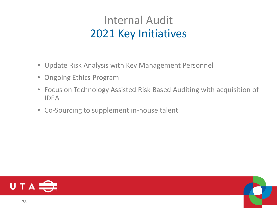### Internal Audit 2021 Key Initiatives

- Update Risk Analysis with Key Management Personnel
- Ongoing Ethics Program
- Focus on Technology Assisted Risk Based Auditing with acquisition of IDEA
- Co-Sourcing to supplement in-house talent

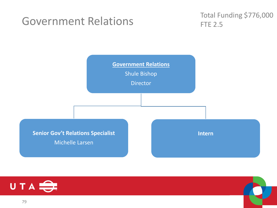#### Government Relations

Total Funding \$776,000 FTE 2.5





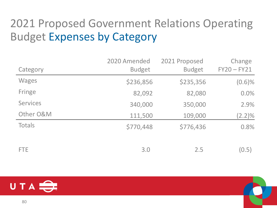# 2021 Proposed Government Relations Operating Budget Expenses by Category

|                 | 2020 Amended  | 2021 Proposed | Change        |
|-----------------|---------------|---------------|---------------|
| Category        | <b>Budget</b> | <b>Budget</b> | $FY20 - FY21$ |
| <b>Wages</b>    | \$236,856     | \$235,356     | $(0.6)\%$     |
| Fringe          | 82,092        | 82,080        | 0.0%          |
| <b>Services</b> | 340,000       | 350,000       | 2.9%          |
| Other O&M       | 111,500       | 109,000       | $(2.2)\%$     |
| Totals          | \$770,448     | \$776,436     | 0.8%          |
| <b>FTE</b>      | 3.0           | 2.5           | (0.5)         |

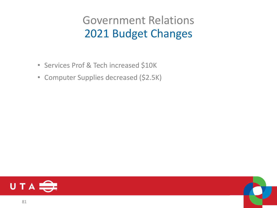### Government Relations 2021 Budget Changes

- Services Prof & Tech increased \$10K
- Computer Supplies decreased (\$2.5K)